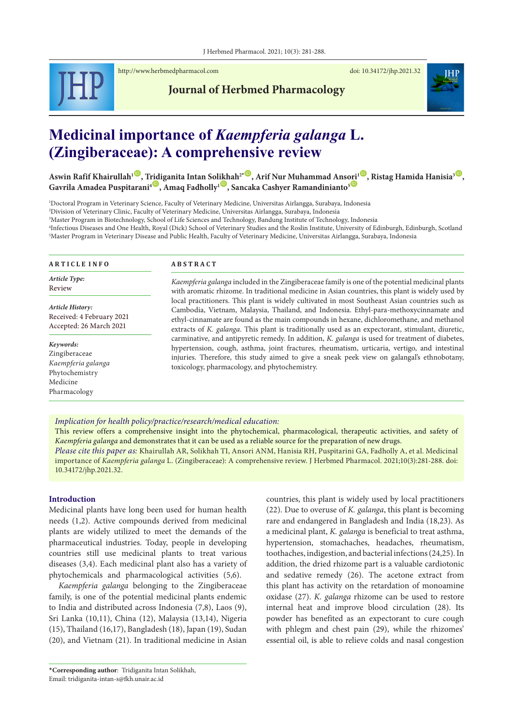

<http://www.herbmedpharmacol.com> doi: [10.34172/jhp.2021.32](https://doi.org/10.34172/jhp.2021.32)



# **Journal of Herbmed Pharmacology**

# **Medicinal importance of** *Kaempferia galanga* **L. (Zingiberaceae): A comprehensive review**

 $A$ swin Rafif Khairullah<sup>1</sup> , [Tridi](https://orcid.org/0000-0002-8826-5606)ganita Intan So[likh](https://orcid.org/0000-0003-2064-8552)ah $^{2*}$  , Arif Nur Muhammad Ans[ori](https://orcid.org/0000-0002-4940-4917)<sup>1 D</sup> , Ristag Hamida Hanisia $^{3}$  , Gavrila Amadea Puspitarani<sup>4<sup>(D</sup>, Amaq Fadholly<sup>1</sub><sup>(D</sup>, Sancaka Cashyer Ramandinianto<sup>5</sup><sup>(D</sup></sup></sup>

 Doctoral Program in Veterinary Science, Faculty of Veterinary Medicine, Universitas Airlangga, Surabaya, Indonesia Division of Veterinary Clinic, Faculty of Veterinary Medicine, Universitas Airlangga, Surabaya, Indonesia Master Program in Biotechnology, School of Life Sciences and Technology, Bandung Institute of Technology, Indonesia Infectious Diseases and One Health, Royal (Dick) School of Veterinary Studies and the Roslin Institute, University of Edinburgh, Edinburgh, Scotland Master Program in Veterinary Disease and Public Health, Faculty of Veterinary Medicine, Universitas Airlangga, Surabaya, Indonesia

| Article Type:<br>Review                                                                        | Kaempferia galanga included in the Zingiberaceae family is one of the potential medicinal plants<br>with aromatic rhizome. In traditional medicine in Asian countries, this plant is widely used by<br>local practitioners. This plant is widely cultivated in most Southeast Asian countries such as<br>Cambodia, Vietnam, Malaysia, Thailand, and Indonesia. Ethyl-para-methoxycinnamate and<br>ethyl-cinnamate are found as the main compounds in hexane, dichloromethane, and methanol<br>extracts of K. galanga. This plant is traditionally used as an expectorant, stimulant, diuretic,<br>carminative, and antipyretic remedy. In addition, K. galanga is used for treatment of diabetes,<br>hypertension, cough, asthma, joint fractures, rheumatism, urticaria, vertigo, and intestinal<br>injuries. Therefore, this study aimed to give a sneak peek view on galangal's ethnobotany,<br>toxicology, pharmacology, and phytochemistry. |
|------------------------------------------------------------------------------------------------|--------------------------------------------------------------------------------------------------------------------------------------------------------------------------------------------------------------------------------------------------------------------------------------------------------------------------------------------------------------------------------------------------------------------------------------------------------------------------------------------------------------------------------------------------------------------------------------------------------------------------------------------------------------------------------------------------------------------------------------------------------------------------------------------------------------------------------------------------------------------------------------------------------------------------------------------------|
| Article History:<br>Received: 4 February 2021<br>Accepted: 26 March 2021                       |                                                                                                                                                                                                                                                                                                                                                                                                                                                                                                                                                                                                                                                                                                                                                                                                                                                                                                                                                  |
| Keywords:<br>Zingiberaceae<br>Kaempferia galanga<br>Phytochemistry<br>Medicine<br>Pharmacology |                                                                                                                                                                                                                                                                                                                                                                                                                                                                                                                                                                                                                                                                                                                                                                                                                                                                                                                                                  |

*Implication for health policy/practice/research/medical education:*

This review offers a comprehensive insight into the phytochemical, pharmacological, therapeutic activities, and safety of *Kaempferia galanga* and demonstrates that it can be used as a reliable source for the preparation of new drugs.

*Please cite this paper as:* Khairullah AR, Solikhah TI, Ansori ANM, Hanisia RH, Puspitarini GA, Fadholly A, et al. Medicinal importance of *Kaempferia galanga* L. (Zingiberaceae): A comprehensive review. J Herbmed Pharmacol. 2021;10(3):281-288. doi: 10.34172/jhp.2021.32.

# **Introduction**

Medicinal plants have long been used for human health needs (1,2). Active compounds derived from medicinal plants are widely utilized to meet the demands of the pharmaceutical industries. Today, people in developing countries still use medicinal plants to treat various diseases (3,4). Each medicinal plant also has a variety of phytochemicals and pharmacological activities (5,6).

*Kaempferia galanga* belonging to the Zingiberaceae family, is one of the potential medicinal plants endemic to India and distributed across Indonesia (7,8), Laos (9), Sri Lanka (10,11), China (12), Malaysia (13,14), Nigeria (15), Thailand (16,17), Bangladesh (18), Japan (19), Sudan (20), and Vietnam (21). In traditional medicine in Asian countries, this plant is widely used by local practitioners

<sup>(22).</sup> Due to overuse of *K. galanga*, this plant is becoming rare and endangered in Bangladesh and India (18,23). As a medicinal plant, *K. galanga* is beneficial to treat asthma, hypertension, stomachaches, headaches, rheumatism, toothaches, indigestion, and bacterial infections (24,25). In addition, the dried rhizome part is a valuable cardiotonic and sedative remedy (26). The acetone extract from this plant has activity on the retardation of monoamine oxidase (27). *K. galanga* rhizome can be used to restore internal heat and improve blood circulation (28). Its powder has benefited as an expectorant to cure cough with phlegm and chest pain (29), while the rhizomes' essential oil, is able to relieve colds and nasal congestion

<sup>\*</sup>**Corresponding author**: Tridiganita Intan Solikhah, Email: tridiganita-intan-s@fkh.unair.ac.id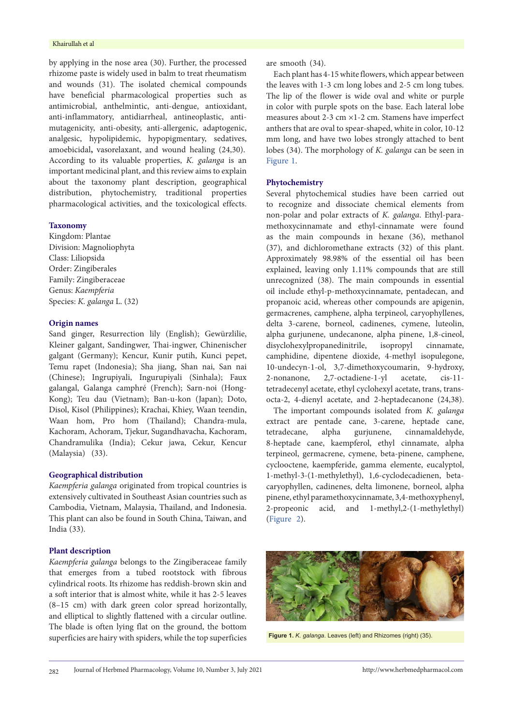#### Khairullah et al

by applying in the nose area (30). Further, the processed rhizome paste is widely used in balm to treat rheumatism and wounds (31). The isolated chemical compounds have beneficial pharmacological properties such as antimicrobial, anthelmintic, anti-dengue, antioxidant, anti-inflammatory, antidiarrheal, antineoplastic, antimutagenicity, anti-obesity, anti-allergenic, adaptogenic, analgesic, hypolipidemic, hypopigmentary, sedatives, amoebicidal**,** vasorelaxant, and wound healing (24,30). According to its valuable properties, *K. galanga* is an important medicinal plant, and this review aims to explain about the taxonomy plant description, geographical distribution, phytochemistry, traditional properties pharmacological activities, and the toxicological effects.

# **Taxonomy**

Kingdom: Plantae Division: Magnoliophyta Class: Liliopsida Order: Zingiberales Family: Zingiberaceae Genus: *Kaempferia* Species: *K. galanga* L. (32)

## **Origin names**

Sand ginger, Resurrection lily (English); Gewürzlilie, Kleiner galgant, Sandingwer, Thai-ingwer, Chinenischer galgant (Germany); Kencur, Kunir putih, Kunci pepet, Temu rapet (Indonesia); Sha jiang, Shan nai, San nai (Chinese); Ingrupiyali, Ingurupiyali (Sinhala); Faux galangal, Galanga camphré (French); Sarn-noi (Hong-Kong); Teu dau (Vietnam); Ban-u-kon (Japan); Doto, Disol, Kisol (Philippines); Krachai, Khiey, Waan teendin, Waan hom, Pro hom (Thailand); Chandra-mula, Kachoram, Achoram, Tjekur, Sugandhavacha, Kachoram, Chandramulika (India); Cekur jawa, Cekur, Kencur (Malaysia) (33).

#### **Geographical distribution**

*Kaempferia galanga* originated from tropical countries is extensively cultivated in Southeast Asian countries such as Cambodia, Vietnam, Malaysia, Thailand, and Indonesia. This plant can also be found in South China, Taiwan, and India (33).

# **Plant description**

*Kaempferia galanga* belongs to the Zingiberaceae family that emerges from a tubed rootstock with fibrous cylindrical roots. Its rhizome has reddish-brown skin and a soft interior that is almost white, while it has 2-5 leaves (8–15 cm) with dark green color spread horizontally, and elliptical to slightly flattened with a circular outline. The blade is often lying flat on the ground, the bottom superficies are hairy with spiders, while the top superficies are smooth (34).

Each plant has 4-15 white flowers, which appear between the leaves with 1-3 cm long lobes and 2-5 cm long tubes. The lip of the flower is wide oval and white or purple in color with purple spots on the base. Each lateral lobe measures about 2-3 cm ×1-2 cm. Stamens have imperfect anthers that are oval to spear-shaped, white in color, 10-12 mm long, and have two lobes strongly attached to bent lobes (34). The morphology of *K. galanga* can be seen in [Figure](#page-1-0) 1.

# **Phytochemistry**

Several phytochemical studies have been carried out to recognize and dissociate chemical elements from non-polar and polar extracts of *K. galanga*. Ethyl-paramethoxycinnamate and ethyl-cinnamate were found as the main compounds in hexane (36), methanol (37), and dichloromethane extracts (32) of this plant. Approximately 98.98% of the essential oil has been explained, leaving only 1.11% compounds that are still unrecognized (38). The main compounds in essential oil include ethyl-p-methoxycinnamate, pentadecan, and propanoic acid, whereas other compounds are apigenin, germacrenes, camphene, alpha terpineol, caryophyllenes, delta 3-carene, borneol, cadinenes, cymene, luteolin, alpha gurjunene, undecanone, alpha pinene, 1,8-cineol, disyclohexylpropanedinitrile, isopropyl cinnamate, camphidine, dipentene dioxide, 4-methyl isopulegone, 10-undecyn-1-ol, 3,7-dimethoxycoumarin, 9-hydroxy, 2-nonanone, 2,7-octadiene-1-yl acetate, cis-11 tetradecenyl acetate, ethyl cyclohexyl acetate, trans, transocta-2, 4-dienyl acetate, and 2-heptadecanone (24,38).

The important compounds isolated from *K. galanga* extract are pentade cane, 3-carene, heptade cane, tetradecane, alpha gurjunene, cinnamaldehyde, 8-heptade cane, kaempferol, ethyl cinnamate, alpha terpineol, germacrene, cymene, beta-pinene, camphene, cyclooctene, kaempferide, gamma elemente, eucalyptol, 1-methyl-3-(1-methylethyl), 1,6-cyclodecadienen, betacaryophyllen, cadinenes, delta limonene, borneol, alpha pinene, ethyl paramethoxycinnamate, 3,4-methoxyphenyl, 2-propeonic acid, and 1-methyl,2-(1-methylethyl) [\(Figure](#page-2-0) 2).

<span id="page-1-0"></span>

**Figure 1.** *K. galanga*. Leaves (left) and Rhizomes (right) (35).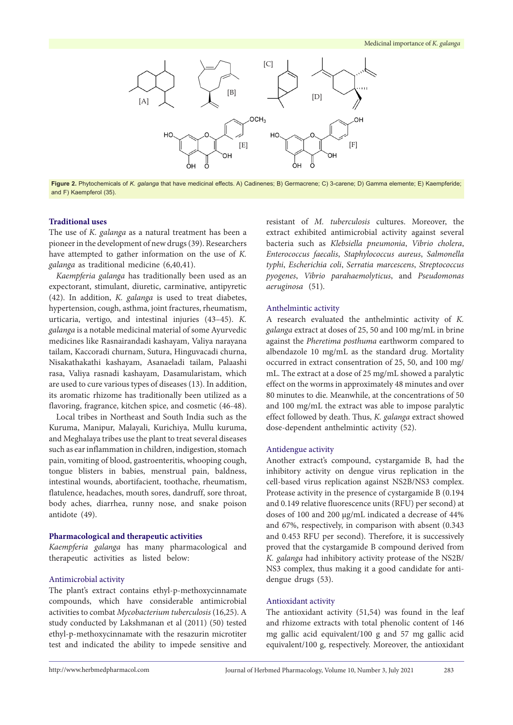<span id="page-2-0"></span>

**Figure 2.** Phytochemicals of *K. galanga* that have medicinal effects. A) Cadinenes; B) Germacrene; C) 3-carene; D) Gamma elemente; E) Kaempferide; and F) Kaempferol (35).

# **Traditional uses**

The use of *K. galanga* as a natural treatment has been a pioneer in the development of new drugs (39). Researchers have attempted to gather information on the use of *K. galanga* as traditional medicine (6,40,41).

*Kaempferia galanga* has traditionally been used as an expectorant, stimulant, diuretic, carminative, antipyretic (42). In addition, *K. galanga* is used to treat diabetes, hypertension, cough, asthma, joint fractures, rheumatism, urticaria, vertigo, and intestinal injuries (43–45). *K. galanga* is a notable medicinal material of some Ayurvedic medicines like Rasnairandadi kashayam, Valiya narayana tailam, Kaccoradi churnam, Sutura, Hinguvacadi churna, Nisakathakathi kashayam, Asanaeladi tailam, Palaashi rasa, Valiya rasnadi kashayam, Dasamularistam, which are used to cure various types of diseases (13). In addition, its aromatic rhizome has traditionally been utilized as a flavoring, fragrance, kitchen spice, and cosmetic (46-48).

Local tribes in Northeast and South India such as the Kuruma, Manipur, Malayali, Kurichiya, Mullu kuruma, and Meghalaya tribes use the plant to treat several diseases such as ear inflammation in children, indigestion, stomach pain, vomiting of blood, gastroenteritis, whooping cough, tongue blisters in babies, menstrual pain, baldness, intestinal wounds, abortifacient, toothache, rheumatism, flatulence, headaches, mouth sores, dandruff, sore throat, body aches, diarrhea, runny nose, and snake poison antidote (49).

#### **Pharmacological and therapeutic activities**

*Kaempferia galanga* has many pharmacological and therapeutic activities as listed below:

# Antimicrobial activity

The plant's extract contains ethyl-p-methoxycinnamate compounds, which have considerable antimicrobial activities to combat *Mycobacterium tuberculosis* (16,25). A study conducted by Lakshmanan et al (2011) (50) tested ethyl-p-methoxycinnamate with the resazurin microtiter test and indicated the ability to impede sensitive and

resistant of *M. tuberculosis* cultures. Moreover, the extract exhibited antimicrobial activity against several bacteria such as *Klebsiella pneumonia*, *Vibrio cholera*, *Enterococcus faecalis*, *Staphylococcus aureus*, *Salmonella typhi*, *Escherichia coli*, *Serratia marcescens*, *Streptococcus pyogenes*, *Vibrio parahaemolyticus*, and *Pseudomonas aeruginosa* (51).

#### Anthelmintic activity

A research evaluated the anthelmintic activity of *K. galanga* extract at doses of 25, 50 and 100 mg/mL in brine against the *Pheretima posthuma* earthworm compared to albendazole 10 mg/mL as the standard drug. Mortality occurred in extract consentration of 25, 50, and 100 mg/ mL. The extract at a dose of 25 mg/mL showed a paralytic effect on the worms in approximately 48 minutes and over 80 minutes to die. Meanwhile, at the concentrations of 50 and 100 mg/mL the extract was able to impose paralytic effect followed by death. Thus, *K. galanga* extract showed dose-dependent anthelmintic activity (52).

# Antidengue activity

Another extract's compound, cystargamide B, had the inhibitory activity on dengue virus replication in the cell-based virus replication against NS2B/NS3 complex. Protease activity in the presence of cystargamide B (0.194 and 0.149 relative fluorescence units (RFU) per second) at doses of 100 and 200 μg/mL indicated a decrease of 44% and 67%, respectively, in comparison with absent (0.343 and 0.453 RFU per second). Therefore, it is successively proved that the cystargamide B compound derived from *K. galanga* had inhibitory activity protease of the NS2B/ NS3 complex, thus making it a good candidate for antidengue drugs (53).

#### Antioxidant activity

The antioxidant activity (51,54) was found in the leaf and rhizome extracts with total phenolic content of 146 mg gallic acid equivalent/100 g and 57 mg gallic acid equivalent/100 g, respectively. Moreover, the antioxidant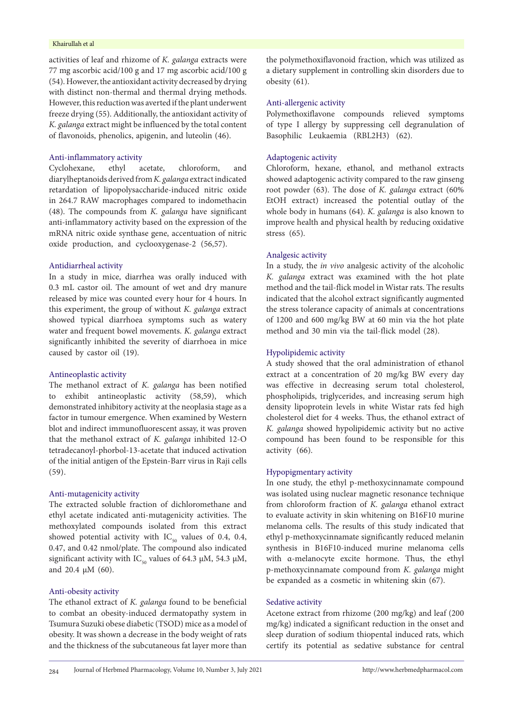#### Khairullah et al

activities of leaf and rhizome of *K. galanga* extracts were 77 mg ascorbic acid/100 g and 17 mg ascorbic acid/100 g (54). However, the antioxidant activity decreased by drying with distinct non-thermal and thermal drying methods. However, this reduction was averted if the plant underwent freeze drying (55). Additionally, the antioxidant activity of *K. galanga* extract might be influenced by the total content of flavonoids, phenolics, apigenin, and luteolin (46).

## Anti-inflammatory activity

Cyclohexane, ethyl acetate, chloroform, and diarylheptanoids derived from *K. galanga* extract indicated retardation of lipopolysaccharide-induced nitric oxide in 264.7 RAW macrophages compared to indomethacin (48). The compounds from *K. galanga* have significant anti-inflammatory activity based on the expression of the mRNA nitric oxide synthase gene, accentuation of nitric oxide production, and cyclooxygenase-2 (56,57).

# Antidiarrheal activity

In a study in mice, diarrhea was orally induced with 0.3 mL castor oil. The amount of wet and dry manure released by mice was counted every hour for 4 hours. In this experiment, the group of without *K. galanga* extract showed typical diarrhoea symptoms such as watery water and frequent bowel movements. *K. galanga* extract significantly inhibited the severity of diarrhoea in mice caused by castor oil (19).

#### Antineoplastic activity

The methanol extract of *K. galanga* has been notified to exhibit antineoplastic activity (58,59), which demonstrated inhibitory activity at the neoplasia stage as a factor in tumour emergence. When examined by Western blot and indirect immunofluorescent assay, it was proven that the methanol extract of *K. galanga* inhibited 12-O tetradecanoyl-phorbol-13-acetate that induced activation of the initial antigen of the Epstein-Barr virus in Raji cells (59).

#### Anti-mutagenicity activity

The extracted soluble fraction of dichloromethane and ethyl acetate indicated anti-mutagenicity activities. The methoxylated compounds isolated from this extract showed potential activity with  $IC_{50}$  values of 0.4, 0.4, 0.47, and 0.42 nmol/plate. The compound also indicated significant activity with IC<sub>50</sub> values of 64.3 μM, 54.3 μM, and 20.4 μM (60).

#### Anti-obesity activity

The ethanol extract of *K. galanga* found to be beneficial to combat an obesity-induced dermatopathy system in Tsumura Suzuki obese diabetic (TSOD) mice as a model of obesity. It was shown a decrease in the body weight of rats and the thickness of the subcutaneous fat layer more than

the polymethoxiflavonoid fraction, which was utilized as a dietary supplement in controlling skin disorders due to obesity (61).

# Anti-allergenic activity

Polymethoxiflavone compounds relieved symptoms of type I allergy by suppressing cell degranulation of Basophilic Leukaemia (RBL2H3) (62).

# Adaptogenic activity

Chloroform, hexane, ethanol, and methanol extracts showed adaptogenic activity compared to the raw ginseng root powder (63). The dose of *K. galanga* extract (60% EtOH extract) increased the potential outlay of the whole body in humans (64). *K. galanga* is also known to improve health and physical health by reducing oxidative stress (65).

#### Analgesic activity

In a study, the *in vivo* analgesic activity of the alcoholic *K. galanga* extract was examined with the hot plate method and the tail-flick model in Wistar rats. The results indicated that the alcohol extract significantly augmented the stress tolerance capacity of animals at concentrations of 1200 and 600 mg/kg BW at 60 min via the hot plate method and 30 min via the tail-flick model (28).

# Hypolipidemic activity

A study showed that the oral administration of ethanol extract at a concentration of 20 mg/kg BW every day was effective in decreasing serum total cholesterol, phospholipids, triglycerides, and increasing serum high density lipoprotein levels in white Wistar rats fed high cholesterol diet for 4 weeks. Thus, the ethanol extract of *K. galanga* showed hypolipidemic activity but no active compound has been found to be responsible for this activity (66).

# Hypopigmentary activity

In one study, the ethyl p-methoxycinnamate compound was isolated using nuclear magnetic resonance technique from chloroform fraction of *K. galanga* ethanol extract to evaluate activity in skin whitening on B16F10 murine melanoma cells. The results of this study indicated that ethyl p-methoxycinnamate significantly reduced melanin synthesis in B16F10-induced murine melanoma cells with α-melanocyte excite hormone. Thus, the ethyl p-methoxycinnamate compound from *K. galanga* might be expanded as a cosmetic in whitening skin (67).

# Sedative activity

Acetone extract from rhizome (200 mg/kg) and leaf (200 mg/kg) indicated a significant reduction in the onset and sleep duration of sodium thiopental induced rats, which certify its potential as sedative substance for central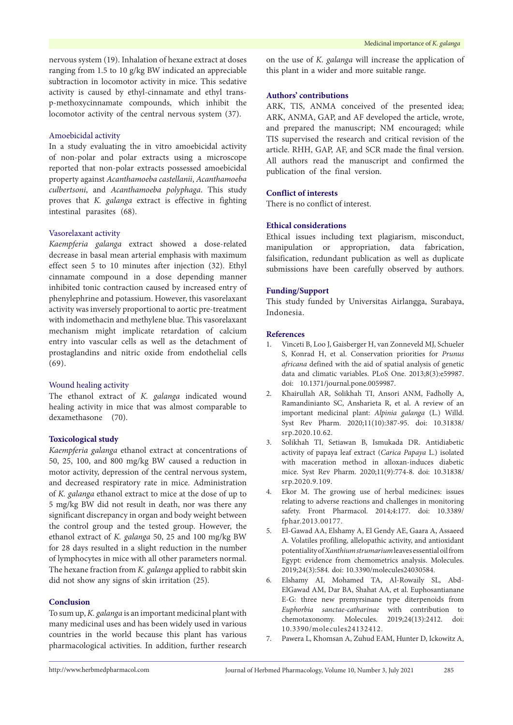nervous system (19). Inhalation of hexane extract at doses ranging from 1.5 to 10 g/kg BW indicated an appreciable subtraction in locomotor activity in mice. This sedative activity is caused by ethyl-cinnamate and ethyl transp-methoxycinnamate compounds, which inhibit the locomotor activity of the central nervous system (37).

# Amoebicidal activity

In a study evaluating the in vitro amoebicidal activity of non-polar and polar extracts using a microscope reported that non-polar extracts possessed amoebicidal property against *Acanthamoeba castellanii*, *Acanthamoeba culbertsoni*, and *Acanthamoeba polyphaga*. This study proves that *K. galanga* extract is effective in fighting intestinal parasites (68).

#### Vasorelaxant activity

*Kaempferia galanga* extract showed a dose-related decrease in basal mean arterial emphasis with maximum effect seen 5 to 10 minutes after injection (32). Ethyl cinnamate compound in a dose depending manner inhibited tonic contraction caused by increased entry of phenylephrine and potassium. However, this vasorelaxant activity was inversely proportional to aortic pre-treatment with indomethacin and methylene blue. This vasorelaxant mechanism might implicate retardation of calcium entry into vascular cells as well as the detachment of prostaglandins and nitric oxide from endothelial cells (69).

## Wound healing activity

The ethanol extract of *K. galanga* indicated wound healing activity in mice that was almost comparable to dexamethasone (70).

#### **Toxicological study**

*Kaempferia galanga* ethanol extract at concentrations of 50, 25, 100, and 800 mg/kg BW caused a reduction in motor activity, depression of the central nervous system, and decreased respiratory rate in mice. Administration of *K. galanga* ethanol extract to mice at the dose of up to 5 mg/kg BW did not result in death, nor was there any significant discrepancy in organ and body weight between the control group and the tested group. However, the ethanol extract of *K. galanga* 50, 25 and 100 mg/kg BW for 28 days resulted in a slight reduction in the number of lymphocytes in mice with all other parameters normal. The hexane fraction from *K. galanga* applied to rabbit skin did not show any signs of skin irritation (25).

# **Conclusion**

To sum up, *K. galanga* is an important medicinal plant with many medicinal uses and has been widely used in various countries in the world because this plant has various pharmacological activities. In addition, further research on the use of *K. galanga* will increase the application of this plant in a wider and more suitable range.

#### **Authors' contributions**

ARK, TIS, ANMA conceived of the presented idea; ARK, ANMA, GAP, and AF developed the article, wrote, and prepared the manuscript; NM encouraged; while TIS supervised the research and critical revision of the article. RHH, GAP, AF, and SCR made the final version. All authors read the manuscript and confirmed the publication of the final version.

# **Conflict of interests**

There is no conflict of interest.

# **Ethical considerations**

Ethical issues including text plagiarism, misconduct, manipulation or appropriation, data fabrication, falsification, redundant publication as well as duplicate submissions have been carefully observed by authors.

#### **Funding/Support**

This study funded by Universitas Airlangga, Surabaya, Indonesia.

# **References**

- 1. Vinceti B, Loo J, Gaisberger H, van Zonneveld MJ, Schueler S, Konrad H, et al. Conservation priorities for *Prunus africana* defined with the aid of spatial analysis of genetic data and climatic variables. PLoS One. 2013;8(3):e59987. doi: 10.1371/journal.pone.0059987.
- 2. Khairullah AR, Solikhah TI, Ansori ANM, Fadholly A, Ramandinianto SC, Ansharieta R, et al. A review of an important medicinal plant: *Alpinia galanga* (L.) Willd. Syst Rev Pharm. 2020;11(10):387-95. doi: 10.31838/ srp.2020.10.62.
- 3. Solikhah TI, Setiawan B, Ismukada DR. Antidiabetic activity of papaya leaf extract (*Carica Papaya* L.) isolated with maceration method in alloxan-induces diabetic mice. Syst Rev Pharm. 2020;11(9):774-8. doi: 10.31838/ srp.2020.9.109.
- 4. Ekor M. The growing use of herbal medicines: issues relating to adverse reactions and challenges in monitoring safety. Front Pharmacol. 2014;4:177. doi: 10.3389/ fphar.2013.00177.
- 5. El-Gawad AA, Elshamy A, El Gendy AE, Gaara A, Assaeed A. Volatiles profiling, allelopathic activity, and antioxidant potentiality of *Xanthium strumarium* leaves essential oil from Egypt: evidence from chemometrics analysis. Molecules. 2019;24(3):584. doi: 10.3390/molecules24030584.
- 6. Elshamy AI, Mohamed TA, Al-Rowaily SL, Abd-ElGawad AM, Dar BA, Shahat AA, et al. Euphosantianane E-G: three new premyrsinane type diterpenoids from *Euphorbia sanctae-catharinae* with contribution to chemotaxonomy. Molecules. 2019;24(13):2412. doi: 10.3390/molecules24132412.
- 7. Pawera L, Khomsan A, Zuhud EAM, Hunter D, Ickowitz A,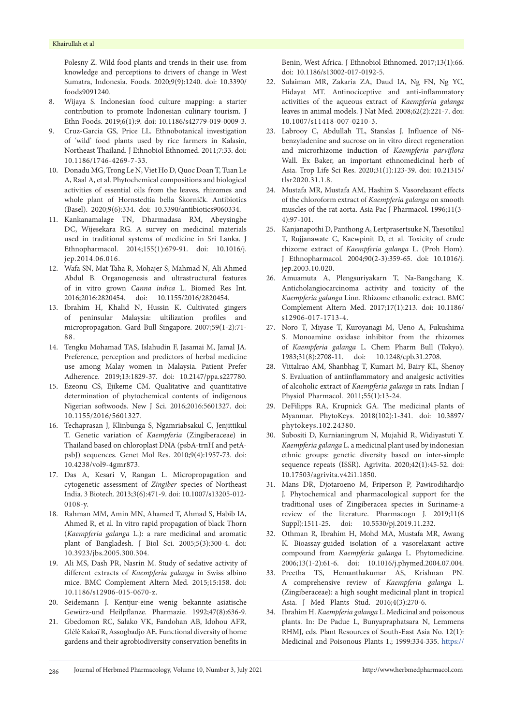Polesny Z. Wild food plants and trends in their use: from knowledge and perceptions to drivers of change in West Sumatra, Indonesia. Foods. 2020;9(9):1240. doi: 10.3390/ foods9091240.

- 8. Wijaya S. Indonesian food culture mapping: a starter contribution to promote Indonesian culinary tourism. J Ethn Foods. 2019;6(1):9. doi: 10.1186/s42779-019-0009-3.
- 9. Cruz-Garcia GS, Price LL. Ethnobotanical investigation of 'wild' food plants used by rice farmers in Kalasin, Northeast Thailand. J Ethnobiol Ethnomed. 2011;7:33. doi: 10.1186/1746-4269-7-33.
- 10. Donadu MG, Trong Le N, Viet Ho D, Quoc Doan T, Tuan Le A, Raal A, et al. Phytochemical compositions and biological activities of essential oils from the leaves, rhizomes and whole plant of Hornstedtia bella Škorničk. Antibiotics (Basel). 2020;9(6):334. doi: 10.3390/antibiotics9060334.
- 11. Kankanamalage TN, Dharmadasa RM, Abeysinghe DC, Wijesekara RG. A survey on medicinal materials used in traditional systems of medicine in Sri Lanka. J Ethnopharmacol. 2014;155(1):679-91. doi: 10.1016/j. jep.2014.06.016.
- 12. Wafa SN, Mat Taha R, Mohajer S, Mahmad N, Ali Ahmed Abdul B. Organogenesis and ultrastructural features of in vitro grown *Canna indica* L. Biomed Res Int. 2016;2016:2820454. doi: 10.1155/2016/2820454.
- 13. Ibrahim H, Khalid N, Hussin K. Cultivated gingers of peninsular Malaysia: ultilization profiles and micropropagation. Gard Bull Singapore. 2007;59(1-2):71- 88.
- 14. Tengku Mohamad TAS, Islahudin F, Jasamai M, Jamal JA. Preference, perception and predictors of herbal medicine use among Malay women in Malaysia. Patient Prefer Adherence. 2019;13:1829-37. doi: 10.2147/ppa.s227780.
- 15. Ezeonu CS, Ejikeme CM. Qualitative and quantitative determination of phytochemical contents of indigenous Nigerian softwoods. New J Sci. 2016;2016:5601327. doi: 10.1155/2016/5601327.
- 16. Techaprasan J, Klinbunga S, Ngamriabsakul C, Jenjittikul T. Genetic variation of *Kaempferia* (Zingiberaceae) in Thailand based on chloroplast DNA (psbA-trnH and petApsbJ) sequences. Genet Mol Res. 2010;9(4):1957-73. doi: 10.4238/vol9-4gmr873.
- 17. Das A, Kesari V, Rangan L. Micropropagation and cytogenetic assessment of *Zingiber* species of Northeast India. 3 Biotech. 2013;3(6):471-9. doi: 10.1007/s13205-012- 0108-y.
- 18. Rahman MM, Amin MN, Ahamed T, Ahmad S, Habib IA, Ahmed R, et al. In vitro rapid propagation of black Thorn (*Kaempferia galanga* L.): a rare medicinal and aromatic plant of Bangladesh. J Biol Sci. 2005;5(3):300-4. doi: 10.3923/jbs.2005.300.304.
- 19. Ali MS, Dash PR, Nasrin M. Study of sedative activity of different extracts of *Kaempferia galanga* in Swiss albino mice. BMC Complement Altern Med. 2015;15:158. doi: 10.1186/s12906-015-0670-z.
- 20. Seidemann J. Kentjur-eine wenig bekannte asiatische Gewürz-und Heilpflanze. Pharmazie. 1992;47(8):636-9.
- 21. Gbedomon RC, Salako VK, Fandohan AB, Idohou AFR, Glèlè Kakaї R, Assogbadjo AE. Functional diversity of home gardens and their agrobiodiversity conservation benefits in

Benin, West Africa. J Ethnobiol Ethnomed. 2017;13(1):66. doi: 10.1186/s13002-017-0192-5.

- 22. Sulaiman MR, Zakaria ZA, Daud IA, Ng FN, Ng YC, Hidayat MT. Antinociceptive and anti-inflammatory activities of the aqueous extract of *Kaempferia galanga* leaves in animal models. J Nat Med. 2008;62(2):221-7. doi: 10.1007/s11418-007-0210-3.
- 23. Labrooy C, Abdullah TL, Stanslas J. Influence of N6 benzyladenine and sucrose on in vitro direct regeneration and microrhizome induction of *Kaempferia parviflora* Wall. Ex Baker, an important ethnomedicinal herb of Asia. Trop Life Sci Res. 2020;31(1):123-39. doi: 10.21315/ tlsr2020.31.1.8.
- 24. Mustafa MR, Mustafa AM, Hashim S. Vasorelaxant effects of the chloroform extract of *Kaempferia galanga* on smooth muscles of the rat aorta. Asia Pac J Pharmacol. 1996;11(3- 4):97-101.
- 25. Kanjanapothi D, Panthong A, Lertprasertsuke N, Taesotikul T, Rujjanawate C, Kaewpinit D, et al. Toxicity of crude rhizome extract of *Kaempferia galanga* L. (Proh Hom). J Ethnopharmacol. 2004;90(2-3):359-65. doi: 10.1016/j. jep.2003.10.020.
- 26. Amuamuta A, Plengsuriyakarn T, Na-Bangchang K. Anticholangiocarcinoma activity and toxicity of the *Kaempferia galanga* Linn. Rhizome ethanolic extract. BMC Complement Altern Med. 2017;17(1):213. doi: 10.1186/ s12906-017-1713-4.
- 27. Noro T, Miyase T, Kuroyanagi M, Ueno A, Fukushima S. Monoamine oxidase inhibitor from the rhizomes of *Kaempferia galanga* L. Chem Pharm Bull (Tokyo). 1983;31(8):2708-11. doi: 10.1248/cpb.31.2708.
- 28. Vittalrao AM, Shanbhag T, Kumari M, Bairy KL, Shenoy S. Evaluation of antiinflammatory and analgesic activities of alcoholic extract of *Kaempferia galanga* in rats. Indian J Physiol Pharmacol. 2011;55(1):13-24.
- 29. DeFilipps RA, Krupnick GA. The medicinal plants of Myanmar. PhytoKeys. 2018(102):1-341. doi: 10.3897/ phytokeys.102.24380.
- 30. Subositi D, Kurnianingrum N, Mujahid R, Widiyastuti Y. *Kaempferia galanga* L. a medicinal plant used by indonesian ethnic groups: genetic diversity based on inter-simple sequence repeats (ISSR). Agrivita. 2020;42(1):45-52. doi: 10.17503/agrivita.v42i1.1850.
- 31. Mans DR, Djotaroeno M, Friperson P, Pawirodihardjo J. Phytochemical and pharmacological support for the traditional uses of Zingiberacea species in Suriname-a review of the literature. Pharmacogn J. 2019;11(6 Suppl):1511-25. doi: 10.5530/pj.2019.11.232.
- 32. Othman R, Ibrahim H, Mohd MA, Mustafa MR, Awang K. Bioassay-guided isolation of a vasorelaxant active compound from *Kaempferia galanga* L. Phytomedicine. 2006;13(1-2):61-6. doi: 10.1016/j.phymed.2004.07.004.
- 33. Preetha TS, Hemanthakumar AS, Krishnan PN. A comprehensive review of *Kaempferia galanga* L. (Zingiberaceae): a high sought medicinal plant in tropical Asia. J Med Plants Stud. 2016;4(3):270-6.
- 34. Ibrahim H. *Kaempferia galanga* L. Medicinal and poisonous plants. In: De Padue L, Bunyapraphatsara N, Lemmens RHMJ, eds. Plant Resources of South-East Asia No. 12(1): Medicinal and Poisonous Plants 1.; 1999:334-335. [https://](https://edepot.wur.nl/411255)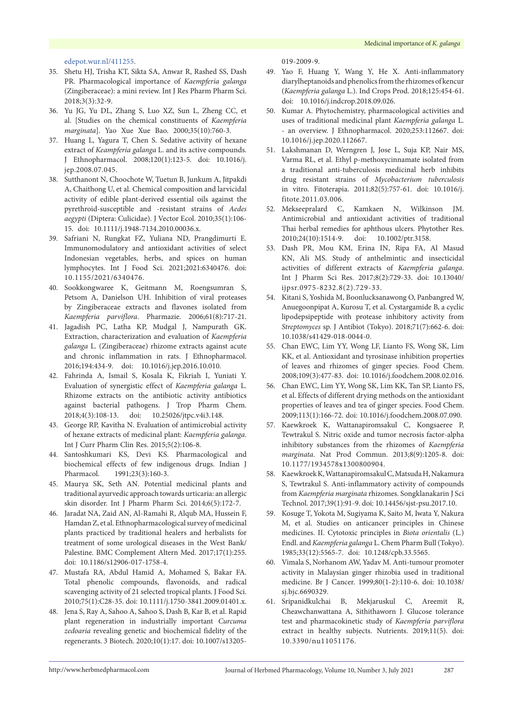### [edepot.wur.nl/411255](https://edepot.wur.nl/411255).

- 35. Shetu HJ, Trisha KT, Sikta SA, Anwar R, Rashed SS, Dash PR. Pharmacological importance of *Kaempferia galanga* (Zingiberaceae): a mini review. Int J Res Pharm Pharm Sci. 2018;3(3):32-9.
- 36. Yu JG, Yu DL, Zhang S, Luo XZ, Sun L, Zheng CC, et al. [Studies on the chemical constituents of *Kaempferia marginata*]. Yao Xue Xue Bao. 2000;35(10):760-3.
- 37. Huang L, Yagura T, Chen S. Sedative activity of hexane extract of *Keampferia galanga* L. and its active compounds. J Ethnopharmacol. 2008;120(1):123-5. doi: 10.1016/j. jep.2008.07.045.
- 38. Sutthanont N, Choochote W, Tuetun B, Junkum A, Jitpakdi A, Chaithong U, et al. Chemical composition and larvicidal activity of edible plant-derived essential oils against the pyrethroid-susceptible and -resistant strains of *Aedes aegypti* (Diptera: Culicidae). J Vector Ecol. 2010;35(1):106- 15. doi: 10.1111/j.1948-7134.2010.00036.x.
- 39. Safriani N, Rungkat FZ, Yuliana ND, Prangdimurti E. Immunomodulatory and antioxidant activities of select Indonesian vegetables, herbs, and spices on human lymphocytes. Int J Food Sci. 2021;2021:6340476. doi: 10.1155/2021/6340476.
- 40. Sookkongwaree K, Geitmann M, Roengsumran S, Petsom A, Danielson UH. Inhibition of viral proteases by Zingiberaceae extracts and flavones isolated from *Kaempferia parviflora*. Pharmazie. 2006;61(8):717-21.
- 41. Jagadish PC, Latha KP, Mudgal J, Nampurath GK. Extraction, characterization and evaluation of *Kaempferia galanga* L. (Zingiberaceae) rhizome extracts against acute and chronic inflammation in rats. J Ethnopharmacol. 2016;194:434-9. doi: 10.1016/j.jep.2016.10.010.
- 42. Fahrinda A, Ismail S, Kosala K, Fikriah I, Yuniati Y. Evaluation of synergistic effect of *Kaempferia galanga* L. Rhizome extracts on the antibiotic activity antibiotics against bacterial pathogens. J Trop Pharm Chem. 2018;4(3):108-13. doi: 10.25026/jtpc.v4i3.148.
- 43. George RP, Kavitha N. Evaluation of antimicrobial activity of hexane extracts of medicinal plant: *Kaempferia galanga*. Int J Curr Pharm Clin Res. 2015;5(2):106-8.
- 44. Santoshkumari KS, Devi KS. Pharmacological and biochemical effects of few indigenous drugs. Indian J Pharmacol. 1991;23(3):160-3.
- 45. Maurya SK, Seth AN. Potential medicinal plants and traditional ayurvedic approach towards urticaria: an allergic skin disorder. Int J Pharm Pharm Sci. 2014;6(5):172-7.
- 46. Jaradat NA, Zaid AN, Al-Ramahi R, Alqub MA, Hussein F, Hamdan Z, et al. Ethnopharmacological survey of medicinal plants practiced by traditional healers and herbalists for treatment of some urological diseases in the West Bank/ Palestine. BMC Complement Altern Med. 2017;17(1):255. doi: 10.1186/s12906-017-1758-4.
- 47. Mustafa RA, Abdul Hamid A, Mohamed S, Bakar FA. Total phenolic compounds, flavonoids, and radical scavenging activity of 21 selected tropical plants. J Food Sci. 2010;75(1):C28-35. doi: 10.1111/j.1750-3841.2009.01401.x.
- 48. Jena S, Ray A, Sahoo A, Sahoo S, Dash B, Kar B, et al. Rapid plant regeneration in industrially important *Curcuma zedoaria* revealing genetic and biochemical fidelity of the regenerants. 3 Biotech. 2020;10(1):17. doi: 10.1007/s13205-

019-2009-9.

- 49. Yao F, Huang Y, Wang Y, He X. Anti-inflammatory diarylheptanoids and phenolics from the rhizomes of kencur (*Kaempferia galanga* L.). Ind Crops Prod. 2018;125:454-61. doi: 10.1016/j.indcrop.2018.09.026.
- 50. Kumar A. Phytochemistry, pharmacological activities and uses of traditional medicinal plant *Kaempferia galanga* L. - an overview. J Ethnopharmacol. 2020;253:112667. doi: 10.1016/j.jep.2020.112667.
- 51. Lakshmanan D, Werngren J, Jose L, Suja KP, Nair MS, Varma RL, et al. Ethyl p-methoxycinnamate isolated from a traditional anti-tuberculosis medicinal herb inhibits drug resistant strains of *Mycobacterium tuberculosis* in vitro. Fitoterapia. 2011;82(5):757-61. doi: 10.1016/j. fitote.2011.03.006.
- 52. Mekseepralard C, Kamkaen N, Wilkinson JM. Antimicrobial and antioxidant activities of traditional Thai herbal remedies for aphthous ulcers. Phytother Res. 2010;24(10):1514-9. doi: 10.1002/ptr.3158.
- 53. Dash PR, Mou KM, Erina IN, Ripa FA, Al Masud KN, Ali MS. Study of anthelmintic and insecticidal activities of different extracts of *Kaempferia galanga*. Int J Pharm Sci Res. 2017;8(2):729-33. doi: 10.13040/ ijpsr.0975-8232.8(2).729-33.
- 54. Kitani S, Yoshida M, Boonlucksanawong O, Panbangred W, Anuegoonpipat A, Kurosu T, et al. Cystargamide B, a cyclic lipodepsipeptide with protease inhibitory activity from *Streptomyces* sp. J Antibiot (Tokyo). 2018;71(7):662-6. doi: 10.1038/s41429-018-0044-0.
- 55. Chan EWC, Lim YY, Wong LF, Lianto FS, Wong SK, Lim KK, et al. Antioxidant and tyrosinase inhibition properties of leaves and rhizomes of ginger species. Food Chem. 2008;109(3):477-83. doi: 10.1016/j.foodchem.2008.02.016.
- 56. Chan EWC, Lim YY, Wong SK, Lim KK, Tan SP, Lianto FS, et al. Effects of different drying methods on the antioxidant properties of leaves and tea of ginger species. Food Chem. 2009;113(1):166-72. doi: 10.1016/j.foodchem.2008.07.090.
- 57. Kaewkroek K, Wattanapiromsakul C, Kongsaeree P, Tewtrakul S. Nitric oxide and tumor necrosis factor-alpha inhibitory substances from the rhizomes of *Kaempferia marginata*. Nat Prod Commun. 2013;8(9):1205-8. doi: 10.1177/1934578x1300800904.
- 58. Kaewkroek K, Wattanapiromsakul C, Matsuda H, Nakamura S, Tewtrakul S. Anti-inflammatory activity of compounds from *Kaempferia marginata* rhizomes. Songklanakarin J Sci Technol. 2017;39(1):91-9. doi: 10.14456/sjst-psu.2017.10.
- 59. Kosuge T, Yokota M, Sugiyama K, Saito M, Iwata Y, Nakura M, et al. Studies on anticancer principles in Chinese medicines. II. Cytotoxic principles in *Biota orientalis* (L.) Endl. and *Kaempferia galanga* L. Chem Pharm Bull (Tokyo). 1985;33(12):5565-7. doi: 10.1248/cpb.33.5565.
- 60. Vimala S, Norhanom AW, Yadav M. Anti-tumour promoter activity in Malaysian ginger rhizobia used in traditional medicine. Br J Cancer. 1999;80(1-2):110-6. doi: 10.1038/ sj.bjc.6690329.
- 61. Sripanidkulchai B, Mekjaruskul C, Areemit R, Cheawchanwattana A, Sithithaworn J. Glucose tolerance test and pharmacokinetic study of *Kaempferia parviflora* extract in healthy subjects. Nutrients. 2019;11(5). doi: 10.3390/nu11051176.